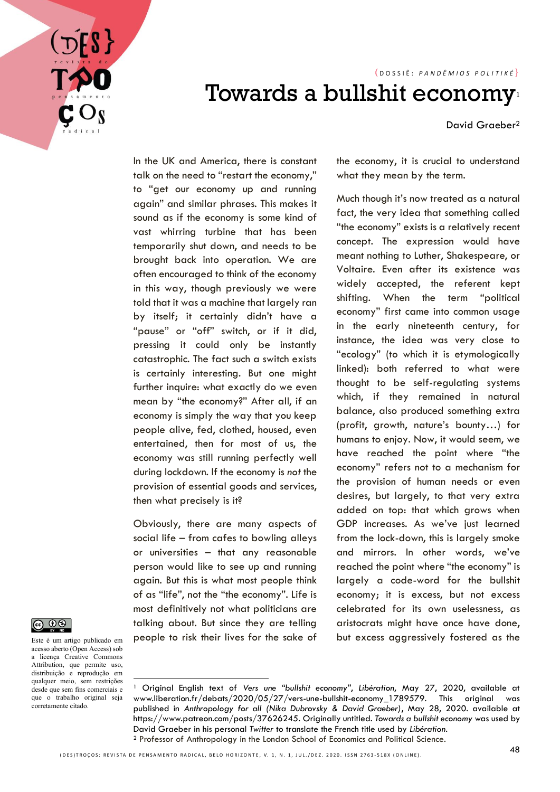

## ( DOSSIÊ: *PANDÊMIOS POLITIKÉ* } Towards a bullshit economy1

David Graeber2

In the UK and America, there is constant talk on the need to "restart the economy," to "get our economy up and running again" and similar phrases. This makes it sound as if the economy is some kind of vast whirring turbine that has been temporarily shut down, and needs to be brought back into operation. We are often encouraged to think of the economy in this way, though previously we were told that it was a machine that largely ran by itself; it certainly didn't have a "pause" or "off" switch, or if it did, pressing it could only be instantly catastrophic. The fact such a switch exists is certainly interesting. But one might further inquire: what exactly do we even mean by "the economy?" After all, if an economy is simply the way that you keep people alive, fed, clothed, housed, even entertained, then for most of us, the economy was still running perfectly well during lockdown. If the economy is *not* the provision of essential goods and services, then what precisely is it?

Obviously, there are many aspects of social life – from cafes to bowling alleys or universities – that any reasonable person would like to see up and running again. But this is what most people think of as "life", not the "the economy". Life is most definitively not what politicians are talking about. But since they are telling people to risk their lives for the sake of the economy, it is crucial to understand what they mean by the term.

Much though it's now treated as a natural fact, the very idea that something called "the economy" exists is a relatively recent concept. The expression would have meant nothing to Luther, Shakespeare, or Voltaire. Even after its existence was widely accepted, the referent kept shifting. When the term "political economy" first came into common usage in the early nineteenth century, for instance, the idea was very close to "ecology" (to which it is etymologically linked): both referred to what were thought to be self-regulating systems which, if they remained in natural balance, also produced something extra (profit, growth, nature's bounty…) for humans to enjoy. Now, it would seem, we have reached the point where "the economy" refers not to a mechanism for the provision of human needs or even desires, but largely, to that very extra added on top: that which grows when GDP increases. As we've just learned from the lock-down, this is largely smoke and mirrors. In other words, we've reached the point where "the economy" is largely a code-word for the bullshit economy; it is excess, but not excess celebrated for its own uselessness, as aristocrats might have once have done,  $\overline{B}_{\text{S}t}$  e i um artigo publicado em people to risk their lives for the sake of but excess aggressively fostered as the



acesso aberto (Open Access) sob a licença Creative Commons Attribution, que permite uso, distribuição e reprodução em qualquer meio, sem restrições desde que sem fins comerciais e que o trabalho original seja corretamente citado.

<sup>1</sup> Original English text of *Vers une "bullshit economy"*, *Libération*, May 27, 2020, available at [www.liberation.fr/debats/2020/05/27/vers-une-bullshit-economy\\_1789579.](http://www.liberation.fr/debats/2020/05/27/vers-une-bullshit-economy_1789579) This original was published in *Anthropology for all (Nika Dubrovsky & David Graeber)*, May 28, 2020. available at [https://www.patreon.com/posts/37626245.](https://www.patreon.com/posts/37626245) Originally untitled. *Towards a bullshit economy* was used by David Graeber in his personal *Twitter* to translate the French title used by *Libération*. <sup>2</sup> Professor of Anthropology in the London School of Economics and Political Science.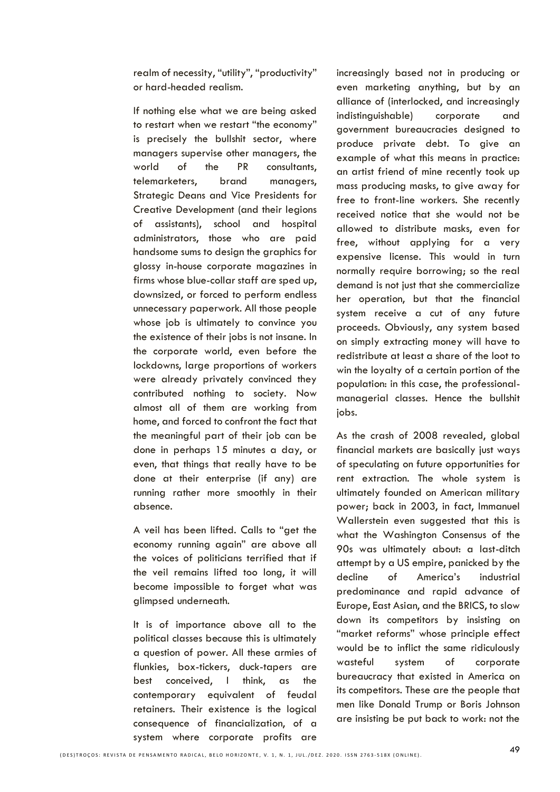realm of necessity, "utility", "productivity" or hard-headed realism.

If nothing else what we are being asked to restart when we restart "the economy" is precisely the bullshit sector, where managers supervise other managers, the world of the PR consultants, telemarketers, brand managers, Strategic Deans and Vice Presidents for Creative Development (and their legions of assistants), school and hospital administrators, those who are paid handsome sums to design the graphics for glossy in-house corporate magazines in firms whose blue-collar staff are sped up, downsized, or forced to perform endless unnecessary paperwork. All those people whose job is ultimately to convince you the existence of their jobs is not insane. In the corporate world, even before the lockdowns, large proportions of workers were already privately convinced they contributed nothing to society. Now almost all of them are working from home, and forced to confront the fact that the meaningful part of their job can be done in perhaps 15 minutes a day, or even, that things that really have to be done at their enterprise (if any) are running rather more smoothly in their absence.

A veil has been lifted. Calls to "get the economy running again" are above all the voices of politicians terrified that if the veil remains lifted too long, it will become impossible to forget what was glimpsed underneath.

It is of importance above all to the political classes because this is ultimately a question of power. All these armies of flunkies, box-tickers, duck-tapers are best conceived, I think, as the contemporary equivalent of feudal retainers. Their existence is the logical consequence of financialization, of a system where corporate profits are

increasingly based not in producing or even marketing anything, but by an alliance of (interlocked, and increasingly indistinguishable) corporate and government bureaucracies designed to produce private debt. To give an example of what this means in practice: an artist friend of mine recently took up mass producing masks, to give away for free to front-line workers. She recently received notice that she would not be allowed to distribute masks, even for free, without applying for a very expensive license. This would in turn normally require borrowing; so the real demand is not just that she commercialize her operation, but that the financial system receive a cut of any future proceeds. Obviously, any system based on simply extracting money will have to redistribute at least a share of the loot to win the loyalty of a certain portion of the population: in this case, the professionalmanagerial classes. Hence the bullshit jobs.

As the crash of 2008 revealed, global financial markets are basically just ways of speculating on future opportunities for rent extraction. The whole system is ultimately founded on American military power; back in 2003, in fact, Immanuel Wallerstein even suggested that this is what the Washington Consensus of the 90s was ultimately about: a last-ditch attempt by a US empire, panicked by the decline of America's industrial predominance and rapid advance of Europe, East Asian, and the BRICS, to slow down its competitors by insisting on "market reforms" whose principle effect would be to inflict the same ridiculously wasteful system of corporate bureaucracy that existed in America on its competitors. These are the people that men like Donald Trump or Boris Johnson are insisting be put back to work: not the